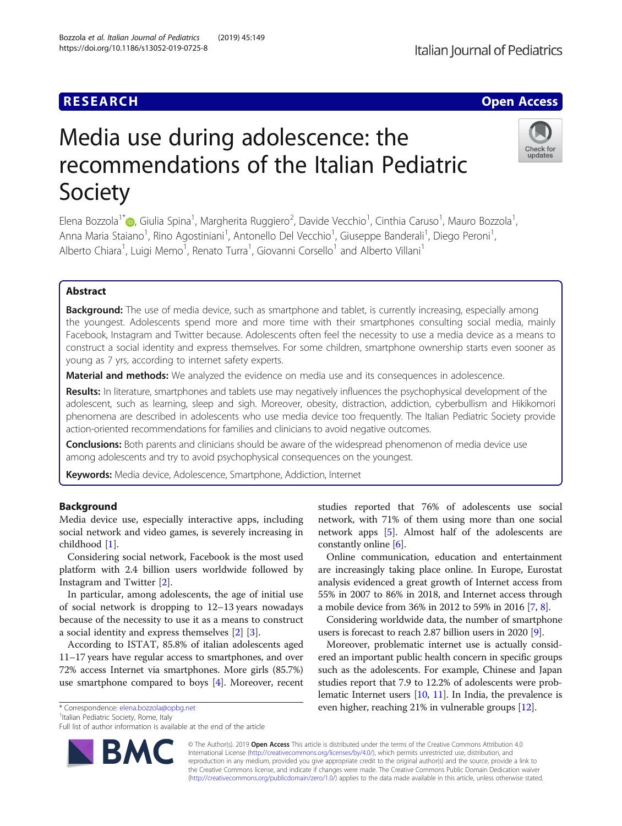# Media use during adolescence: the recommendations of the Italian Pediatric Society

Elena Bozzola<sup>1[\\*](http://orcid.org/0000-0003-2586-019X)</sup>®, Giulia Spina<sup>1</sup>, Margherita Ruggiero<sup>2</sup>, Davide Vecchio<sup>1</sup>, Cinthia Caruso<sup>1</sup>, Mauro Bozzola<sup>1</sup> , Anna Maria Staiano<sup>1</sup>, Rino Agostiniani<sup>1</sup>, Antonello Del Vecchio<sup>1</sup>, Giuseppe Banderali<sup>1</sup>, Diego Peroni<sup>1</sup> , Alberto Chiara<sup>1</sup>, Luigi Memo<sup>1</sup>, Renato Turra<sup>1</sup>, Giovanni Corsello<sup>1</sup> and Alberto Villani<sup>1</sup>

# Abstract

**Background:** The use of media device, such as smartphone and tablet, is currently increasing, especially among the youngest. Adolescents spend more and more time with their smartphones consulting social media, mainly Facebook, Instagram and Twitter because. Adolescents often feel the necessity to use a media device as a means to construct a social identity and express themselves. For some children, smartphone ownership starts even sooner as young as 7 yrs, according to internet safety experts.

Material and methods: We analyzed the evidence on media use and its consequences in adolescence.

Results: In literature, smartphones and tablets use may negatively influences the psychophysical development of the adolescent, such as learning, sleep and sigh. Moreover, obesity, distraction, addiction, cyberbullism and Hikikomori phenomena are described in adolescents who use media device too frequently. The Italian Pediatric Society provide action-oriented recommendations for families and clinicians to avoid negative outcomes.

**Conclusions:** Both parents and clinicians should be aware of the widespread phenomenon of media device use among adolescents and try to avoid psychophysical consequences on the youngest.

Keywords: Media device, Adolescence, Smartphone, Addiction, Internet

# Background

Media device use, especially interactive apps, including social network and video games, is severely increasing in childhood [[1\]](#page-6-0).

Considering social network, Facebook is the most used platform with 2.4 billion users worldwide followed by Instagram and Twitter [\[2\]](#page-6-0).

In particular, among adolescents, the age of initial use of social network is dropping to 12–13 years nowadays because of the necessity to use it as a means to construct a social identity and express themselves [\[2](#page-6-0)] [\[3](#page-6-0)].

According to ISTAT, 85.8% of italian adolescents aged 11–17 years have regular access to smartphones, and over 72% access Internet via smartphones. More girls (85.7%) use smartphone compared to boys [\[4](#page-6-0)]. Moreover, recent

\* Correspondence: [elena.bozzola@opbg.net](mailto:elena.bozzola@opbg.net) <sup>1</sup>

<sup>1</sup>Italian Pediatric Society, Rome, Italy

Full list of author information is available at the end of the article

studies reported that 76% of adolescents use social network, with 71% of them using more than one social network apps [[5\]](#page-6-0). Almost half of the adolescents are constantly online [\[6\]](#page-6-0).

Online communication, education and entertainment are increasingly taking place online. In Europe, Eurostat analysis evidenced a great growth of Internet access from 55% in 2007 to 86% in 2018, and Internet access through a mobile device from 36% in 2012 to 59% in 2016 [\[7,](#page-6-0) [8](#page-6-0)].

Considering worldwide data, the number of smartphone users is forecast to reach 2.87 billion users in 2020 [\[9](#page-6-0)].

Moreover, problematic internet use is actually considered an important public health concern in specific groups such as the adolescents. For example, Chinese and Japan studies report that 7.9 to 12.2% of adolescents were problematic Internet users [[10](#page-6-0), [11](#page-6-0)]. In India, the prevalence is even higher, reaching 21% in vulnerable groups [\[12\]](#page-6-0).

© The Author(s). 2019 **Open Access** This article is distributed under the terms of the Creative Commons Attribution 4.0 International License [\(http://creativecommons.org/licenses/by/4.0/](http://creativecommons.org/licenses/by/4.0/)), which permits unrestricted use, distribution, and reproduction in any medium, provided you give appropriate credit to the original author(s) and the source, provide a link to the Creative Commons license, and indicate if changes were made. The Creative Commons Public Domain Dedication waiver [\(http://creativecommons.org/publicdomain/zero/1.0/](http://creativecommons.org/publicdomain/zero/1.0/)) applies to the data made available in this article, unless otherwise stated.

https://doi.org/10.1186/s13052-019-0725-8





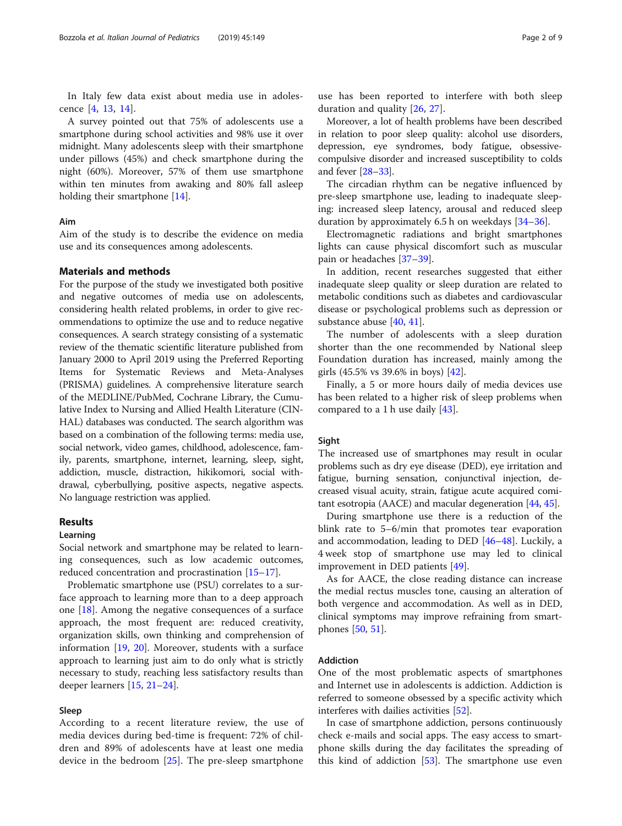In Italy few data exist about media use in adolescence [\[4](#page-6-0), [13,](#page-6-0) [14\]](#page-6-0).

A survey pointed out that 75% of adolescents use a smartphone during school activities and 98% use it over midnight. Many adolescents sleep with their smartphone under pillows (45%) and check smartphone during the night (60%). Moreover, 57% of them use smartphone within ten minutes from awaking and 80% fall asleep holding their smartphone [\[14](#page-6-0)].

#### Aim

Aim of the study is to describe the evidence on media use and its consequences among adolescents.

### Materials and methods

For the purpose of the study we investigated both positive and negative outcomes of media use on adolescents, considering health related problems, in order to give recommendations to optimize the use and to reduce negative consequences. A search strategy consisting of a systematic review of the thematic scientific literature published from January 2000 to April 2019 using the Preferred Reporting Items for Systematic Reviews and Meta-Analyses (PRISMA) guidelines. A comprehensive literature search of the MEDLINE/PubMed, Cochrane Library, the Cumulative Index to Nursing and Allied Health Literature (CIN-HAL) databases was conducted. The search algorithm was based on a combination of the following terms: media use, social network, video games, childhood, adolescence, family, parents, smartphone, internet, learning, sleep, sight, addiction, muscle, distraction, hikikomori, social withdrawal, cyberbullying, positive aspects, negative aspects. No language restriction was applied.

#### Results

#### Learning

Social network and smartphone may be related to learning consequences, such as low academic outcomes, reduced concentration and procrastination [[15](#page-6-0)–[17\]](#page-6-0).

Problematic smartphone use (PSU) correlates to a surface approach to learning more than to a deep approach one [\[18\]](#page-6-0). Among the negative consequences of a surface approach, the most frequent are: reduced creativity, organization skills, own thinking and comprehension of information [\[19](#page-6-0), [20\]](#page-6-0). Moreover, students with a surface approach to learning just aim to do only what is strictly necessary to study, reaching less satisfactory results than deeper learners [\[15](#page-6-0), [21](#page-6-0)–[24\]](#page-6-0).

#### Sleep

According to a recent literature review, the use of media devices during bed-time is frequent: 72% of children and 89% of adolescents have at least one media device in the bedroom [[25\]](#page-6-0). The pre-sleep smartphone

use has been reported to interfere with both sleep duration and quality [[26,](#page-6-0) [27](#page-6-0)].

Moreover, a lot of health problems have been described in relation to poor sleep quality: alcohol use disorders, depression, eye syndromes, body fatigue, obsessivecompulsive disorder and increased susceptibility to colds and fever [\[28](#page-6-0)–[33](#page-6-0)].

The circadian rhythm can be negative influenced by pre-sleep smartphone use, leading to inadequate sleeping: increased sleep latency, arousal and reduced sleep duration by approximately 6.5 h on weekdays [\[34](#page-6-0)–[36\]](#page-6-0).

Electromagnetic radiations and bright smartphones lights can cause physical discomfort such as muscular pain or headaches [[37](#page-6-0)–[39](#page-7-0)].

In addition, recent researches suggested that either inadequate sleep quality or sleep duration are related to metabolic conditions such as diabetes and cardiovascular disease or psychological problems such as depression or substance abuse [[40](#page-7-0), [41](#page-7-0)].

The number of adolescents with a sleep duration shorter than the one recommended by National sleep Foundation duration has increased, mainly among the girls (45.5% vs 39.6% in boys) [\[42](#page-7-0)].

Finally, a 5 or more hours daily of media devices use has been related to a higher risk of sleep problems when compared to a 1 h use daily [[43](#page-7-0)].

#### **Sight**

The increased use of smartphones may result in ocular problems such as dry eye disease (DED), eye irritation and fatigue, burning sensation, conjunctival injection, decreased visual acuity, strain, fatigue acute acquired comitant esotropia (AACE) and macular degeneration [[44](#page-7-0), [45\]](#page-7-0).

During smartphone use there is a reduction of the blink rate to 5–6/min that promotes tear evaporation and accommodation, leading to DED [[46](#page-7-0)–[48](#page-7-0)]. Luckily, a 4 week stop of smartphone use may led to clinical improvement in DED patients [\[49](#page-7-0)].

As for AACE, the close reading distance can increase the medial rectus muscles tone, causing an alteration of both vergence and accommodation. As well as in DED, clinical symptoms may improve refraining from smartphones [\[50,](#page-7-0) [51\]](#page-7-0).

# Addiction

One of the most problematic aspects of smartphones and Internet use in adolescents is addiction. Addiction is referred to someone obsessed by a specific activity which interferes with dailies activities [[52\]](#page-7-0).

In case of smartphone addiction, persons continuously check e-mails and social apps. The easy access to smartphone skills during the day facilitates the spreading of this kind of addiction [[53](#page-7-0)]. The smartphone use even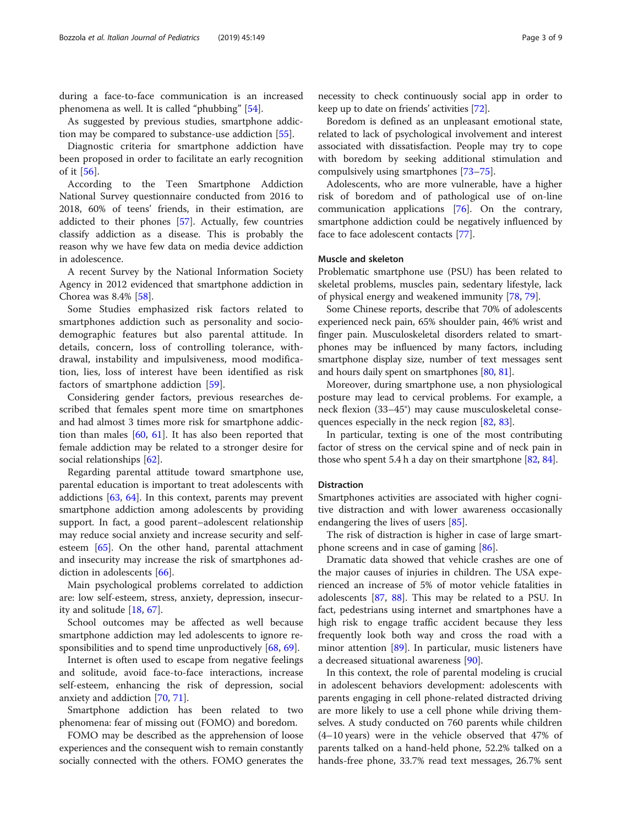during a face-to-face communication is an increased phenomena as well. It is called "phubbing" [\[54](#page-7-0)].

As suggested by previous studies, smartphone addiction may be compared to substance-use addiction [[55\]](#page-7-0).

Diagnostic criteria for smartphone addiction have been proposed in order to facilitate an early recognition of it [[56\]](#page-7-0).

According to the Teen Smartphone Addiction National Survey questionnaire conducted from 2016 to 2018, 60% of teens' friends, in their estimation, are addicted to their phones [[57\]](#page-7-0). Actually, few countries classify addiction as a disease. This is probably the reason why we have few data on media device addiction in adolescence.

A recent Survey by the National Information Society Agency in 2012 evidenced that smartphone addiction in Chorea was 8.4% [\[58\]](#page-7-0).

Some Studies emphasized risk factors related to smartphones addiction such as personality and sociodemographic features but also parental attitude. In details, concern, loss of controlling tolerance, withdrawal, instability and impulsiveness, mood modification, lies, loss of interest have been identified as risk factors of smartphone addiction [\[59](#page-7-0)].

Considering gender factors, previous researches described that females spent more time on smartphones and had almost 3 times more risk for smartphone addiction than males  $[60, 61]$  $[60, 61]$  $[60, 61]$  $[60, 61]$  $[60, 61]$ . It has also been reported that female addiction may be related to a stronger desire for social relationships [\[62](#page-7-0)].

Regarding parental attitude toward smartphone use, parental education is important to treat adolescents with addictions  $[63, 64]$  $[63, 64]$  $[63, 64]$  $[63, 64]$ . In this context, parents may prevent smartphone addiction among adolescents by providing support. In fact, a good parent–adolescent relationship may reduce social anxiety and increase security and selfesteem [[65](#page-7-0)]. On the other hand, parental attachment and insecurity may increase the risk of smartphones addiction in adolescents [[66\]](#page-7-0).

Main psychological problems correlated to addiction are: low self-esteem, stress, anxiety, depression, insecurity and solitude [[18,](#page-6-0) [67\]](#page-7-0).

School outcomes may be affected as well because smartphone addiction may led adolescents to ignore responsibilities and to spend time unproductively [[68,](#page-7-0) [69\]](#page-7-0).

Internet is often used to escape from negative feelings and solitude, avoid face-to-face interactions, increase self-esteem, enhancing the risk of depression, social anxiety and addiction [[70,](#page-7-0) [71\]](#page-7-0).

Smartphone addiction has been related to two phenomena: fear of missing out (FOMO) and boredom.

FOMO may be described as the apprehension of loose experiences and the consequent wish to remain constantly socially connected with the others. FOMO generates the

necessity to check continuously social app in order to keep up to date on friends' activities [\[72\]](#page-7-0).

Boredom is defined as an unpleasant emotional state, related to lack of psychological involvement and interest associated with dissatisfaction. People may try to cope with boredom by seeking additional stimulation and compulsively using smartphones [[73](#page-7-0)–[75](#page-7-0)].

Adolescents, who are more vulnerable, have a higher risk of boredom and of pathological use of on-line communication applications [[76\]](#page-7-0). On the contrary, smartphone addiction could be negatively influenced by face to face adolescent contacts [[77\]](#page-7-0).

# Muscle and skeleton

Problematic smartphone use (PSU) has been related to skeletal problems, muscles pain, sedentary lifestyle, lack of physical energy and weakened immunity [[78,](#page-7-0) [79\]](#page-7-0).

Some Chinese reports, describe that 70% of adolescents experienced neck pain, 65% shoulder pain, 46% wrist and finger pain. Musculoskeletal disorders related to smartphones may be influenced by many factors, including smartphone display size, number of text messages sent and hours daily spent on smartphones [\[80,](#page-7-0) [81](#page-7-0)].

Moreover, during smartphone use, a non physiological posture may lead to cervical problems. For example, a neck flexion (33–45°) may cause musculoskeletal consequences especially in the neck region [[82,](#page-7-0) [83\]](#page-7-0).

In particular, texting is one of the most contributing factor of stress on the cervical spine and of neck pain in those who spent 5.4 h a day on their smartphone  $[82, 84]$  $[82, 84]$  $[82, 84]$  $[82, 84]$ .

#### **Distraction**

Smartphones activities are associated with higher cognitive distraction and with lower awareness occasionally endangering the lives of users [[85](#page-7-0)].

The risk of distraction is higher in case of large smartphone screens and in case of gaming [[86\]](#page-7-0).

Dramatic data showed that vehicle crashes are one of the major causes of injuries in children. The USA experienced an increase of 5% of motor vehicle fatalities in adolescents [[87,](#page-7-0) [88\]](#page-7-0). This may be related to a PSU. In fact, pedestrians using internet and smartphones have a high risk to engage traffic accident because they less frequently look both way and cross the road with a minor attention [\[89](#page-7-0)]. In particular, music listeners have a decreased situational awareness [\[90](#page-7-0)].

In this context, the role of parental modeling is crucial in adolescent behaviors development: adolescents with parents engaging in cell phone-related distracted driving are more likely to use a cell phone while driving themselves. A study conducted on 760 parents while children (4–10 years) were in the vehicle observed that 47% of parents talked on a hand-held phone, 52.2% talked on a hands-free phone, 33.7% read text messages, 26.7% sent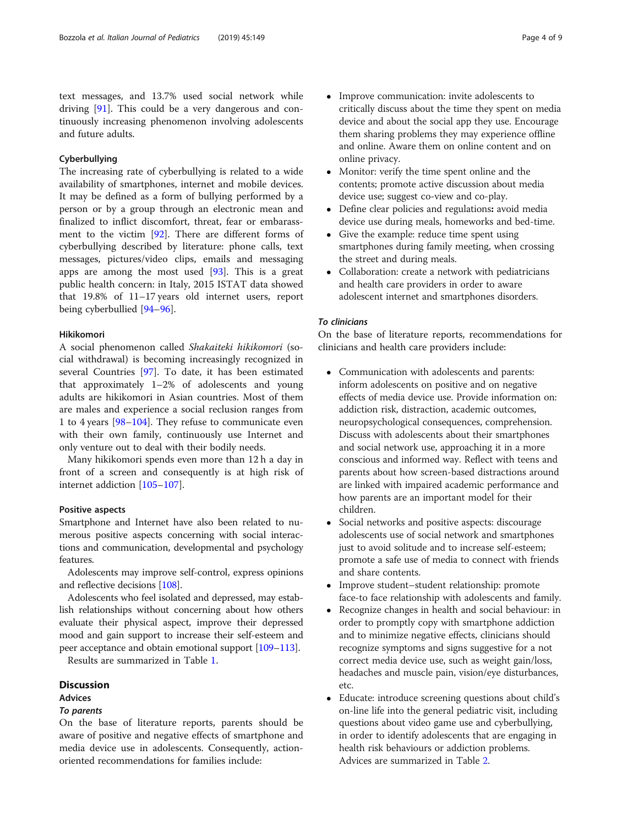# Cyberbullying

The increasing rate of cyberbullying is related to a wide availability of smartphones, internet and mobile devices. It may be defined as a form of bullying performed by a person or by a group through an electronic mean and finalized to inflict discomfort, threat, fear or embarassment to the victim [[92](#page-8-0)]. There are different forms of cyberbullying described by literature: phone calls, text messages, pictures/video clips, emails and messaging apps are among the most used [[93\]](#page-8-0). This is a great public health concern: in Italy, 2015 ISTAT data showed that 19.8% of 11–17 years old internet users, report being cyberbullied [[94](#page-8-0)–[96](#page-8-0)].

# Hikikomori

A social phenomenon called Shakaiteki hikikomori (social withdrawal) is becoming increasingly recognized in several Countries [\[97](#page-8-0)]. To date, it has been estimated that approximately 1–2% of adolescents and young adults are hikikomori in Asian countries. Most of them are males and experience a social reclusion ranges from 1 to 4 years [[98](#page-8-0)–[104\]](#page-8-0). They refuse to communicate even with their own family, continuously use Internet and only venture out to deal with their bodily needs.

Many hikikomori spends even more than 12 h a day in front of a screen and consequently is at high risk of internet addiction [[105](#page-8-0)–[107](#page-8-0)].

#### Positive aspects

Smartphone and Internet have also been related to numerous positive aspects concerning with social interactions and communication, developmental and psychology features.

Adolescents may improve self-control, express opinions and reflective decisions [[108](#page-8-0)].

Adolescents who feel isolated and depressed, may establish relationships without concerning about how others evaluate their physical aspect, improve their depressed mood and gain support to increase their self-esteem and peer acceptance and obtain emotional support [[109](#page-8-0)–[113](#page-8-0)].

Results are summarized in Table [1.](#page-4-0)

#### **Discussion**

#### Advices

# To parents

On the base of literature reports, parents should be aware of positive and negative effects of smartphone and media device use in adolescents. Consequently, actionoriented recommendations for families include:

- Improve communication: invite adolescents to critically discuss about the time they spent on media device and about the social app they use. Encourage them sharing problems they may experience offline and online. Aware them on online content and on online privacy.
- Monitor: verify the time spent online and the contents; promote active discussion about media device use; suggest co-view and co-play.
- Define clear policies and regulations: avoid media device use during meals, homeworks and bed-time.
- Give the example: reduce time spent using smartphones during family meeting, when crossing the street and during meals.
- Collaboration: create a network with pediatricians and health care providers in order to aware adolescent internet and smartphones disorders.

#### To clinicians

On the base of literature reports, recommendations for clinicians and health care providers include:

- Communication with adolescents and parents: inform adolescents on positive and on negative effects of media device use. Provide information on: addiction risk, distraction, academic outcomes, neuropsychological consequences, comprehension. Discuss with adolescents about their smartphones and social network use, approaching it in a more conscious and informed way. Reflect with teens and parents about how screen-based distractions around are linked with impaired academic performance and how parents are an important model for their children.
- Social networks and positive aspects: discourage adolescents use of social network and smartphones just to avoid solitude and to increase self-esteem; promote a safe use of media to connect with friends and share contents.
- Improve student–student relationship: promote face-to face relationship with adolescents and family.
- Recognize changes in health and social behaviour: in order to promptly copy with smartphone addiction and to minimize negative effects, clinicians should recognize symptoms and signs suggestive for a not correct media device use, such as weight gain/loss, headaches and muscle pain, vision/eye disturbances, etc.
- Educate: introduce screening questions about child's on-line life into the general pediatric visit, including questions about video game use and cyberbullying, in order to identify adolescents that are engaging in health risk behaviours or addiction problems. Advices are summarized in Table [2](#page-5-0).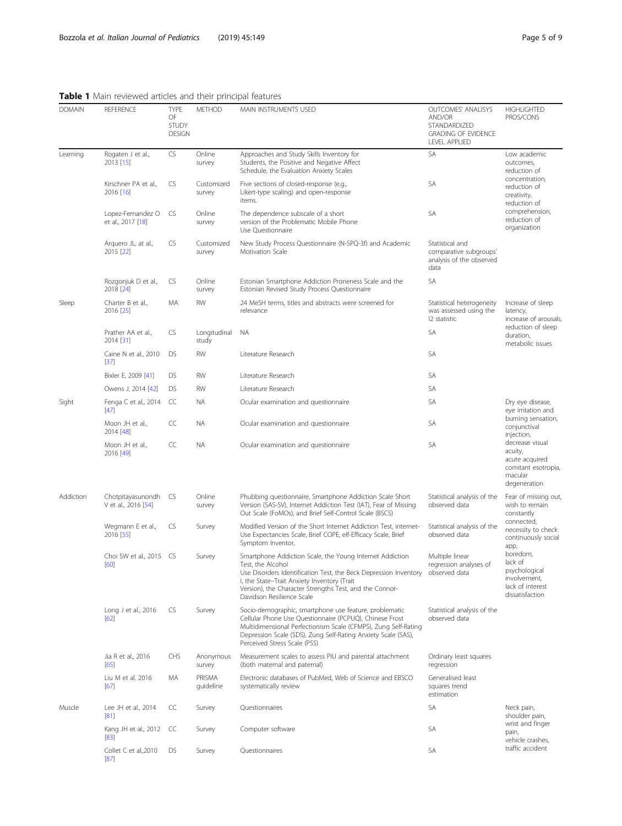# <span id="page-4-0"></span>Table 1 Main reviewed articles and their principal features

| <b>DOMAIN</b> | <b>REFERENCE</b>                            | <b>TYPE</b><br>OF<br><b>STUDY</b><br><b>DESIGN</b> | <b>METHOD</b>         | MAIN INSTRUMENTS USED                                                                                                                                                                                                                                                                                  | <b>OUTCOMES' ANALISYS</b><br>AND/OR<br>STANDARDIZED<br><b>GRADING OF EVIDENCE</b><br>LEVEL APPLIED | HIGHLIGHTED<br>PROS/CONS                                                                                        |  |
|---------------|---------------------------------------------|----------------------------------------------------|-----------------------|--------------------------------------------------------------------------------------------------------------------------------------------------------------------------------------------------------------------------------------------------------------------------------------------------------|----------------------------------------------------------------------------------------------------|-----------------------------------------------------------------------------------------------------------------|--|
| Learning      | Rogaten J et al.,<br>2013 [15]              | <b>CS</b>                                          | Online<br>survey      | Approaches and Study Skills Inventory for<br>Students, the Positive and Negative Affect<br>Schedule, the Evaluation Anxiety Scales                                                                                                                                                                     | SA                                                                                                 | Low academic<br>outcomes,<br>reduction of                                                                       |  |
|               | Kirschner PA et al.,<br>2016 [16]           | CS                                                 | Customized<br>survey  | Five sections of closed-response (e.g.,<br>Likert-type scaling) and open-response<br>items.                                                                                                                                                                                                            | SA                                                                                                 | concentration,<br>reduction of<br>creativity,<br>reduction of<br>comprehension,<br>reduction of<br>organization |  |
|               | Lopez-Fernandez O<br>et al., 2017 [18]      | CS                                                 | Online<br>survey      | The dependence subscale of a short<br>version of the Problematic Mobile Phone<br>Use Questionnaire                                                                                                                                                                                                     | SA                                                                                                 |                                                                                                                 |  |
|               | Arquero JL, at al.,<br>2015 [22]            | CS                                                 | Customized<br>survey  | New Study Process Questionnaire (N-SPQ-3f) and Academic<br>Motivation Scale                                                                                                                                                                                                                            | Statistical and<br>comparative subgroups'<br>analysis of the observed<br>data                      |                                                                                                                 |  |
|               | Rozgonjuk D et al.,<br>2018 [24]            | CS                                                 | Online<br>survey      | Estonian Smartphone Addiction Proneness Scale and the<br>Estonian Revised Study Process Questionnaire                                                                                                                                                                                                  | SA                                                                                                 |                                                                                                                 |  |
| Sleep         | Charter B et al.,<br>2016 [25]              | MA                                                 | <b>RW</b>             | 24 MeSH terms, titles and abstracts were screened for<br>relevance                                                                                                                                                                                                                                     | Statistical heterogeneity<br>was assessed using the<br>12 statistic                                | Increase of sleep<br>latency,<br>increase of arousals,<br>reduction of sleep<br>duration,<br>metabolic issues   |  |
|               | Prather AA et al.,<br>2014 [31]             | CS                                                 | Longitudinal<br>study | <b>NA</b>                                                                                                                                                                                                                                                                                              | SA                                                                                                 |                                                                                                                 |  |
|               | Caine N et al., 2010<br>$[37]$              | DS                                                 | <b>RW</b>             | Literature Research                                                                                                                                                                                                                                                                                    | SA                                                                                                 |                                                                                                                 |  |
|               | Bixler E, 2009 [41]                         | DS                                                 | <b>RW</b>             | Literature Research                                                                                                                                                                                                                                                                                    | SA                                                                                                 |                                                                                                                 |  |
|               | Owens J, 2014 [42]                          | <b>DS</b>                                          | <b>RW</b>             | Literature Research                                                                                                                                                                                                                                                                                    | SA                                                                                                 |                                                                                                                 |  |
| Sight         | Fenga C et al., 2014<br>[47]                | CC                                                 | ΝA                    | Ocular examination and questionnaire                                                                                                                                                                                                                                                                   | SA                                                                                                 | Dry eye disease,<br>eye irritation and<br>burning sensation,<br>conjunctival<br>injection,                      |  |
|               | Moon JH et al.,<br>2014 [48]                | CC                                                 | ΝA                    | Ocular examination and questionnaire                                                                                                                                                                                                                                                                   | SA                                                                                                 |                                                                                                                 |  |
|               | Moon JH et al.,<br>2016 [49]                | CC                                                 | ΝA                    | Ocular examination and questionnaire                                                                                                                                                                                                                                                                   | SA                                                                                                 | decrease visual<br>acuity,<br>acute acquired<br>comitant esotropia,<br>macular<br>degeneration                  |  |
| Addiction     | Chotpitayasunondh CS<br>V et al., 2016 [54] |                                                    | Online<br>survey      | Phubbing questionnaire, Smartphone Addiction Scale Short<br>Version (SAS-SV), Internet Addiction Test (IAT), Fear of Missing<br>Out Scale (FoMOs), and Brief Self-Control Scale (BSCS)                                                                                                                 | Statistical analysis of the<br>observed data                                                       | Fear of missing out,<br>wish to remain<br>constantly                                                            |  |
|               | Wegmann E et al.,<br>2016 [55]              | <b>CS</b>                                          | Survey                | Modified Version of the Short Internet Addiction Test, internet-<br>Use Expectancies Scale, Brief COPE, elf-Efficacy Scale, Brief<br>Symptom Inventor,                                                                                                                                                 | Statistical analysis of the<br>observed data                                                       | connected,<br>necessity to check<br>continuously social                                                         |  |
|               | Choi SW et al., 2015 CS<br>[60]             |                                                    | Survey                | Smartphone Addiction Scale, the Young Internet Addiction<br>Test, the Alcohol<br>Use Disorders Identification Test, the Beck Depression Inventory observed data<br>I, the State-Trait Anxiety Inventory (Trait<br>Version), the Character Strengths Test, and the Connor-<br>Davidson Resilience Scale | Multiple linear<br>regression analyses of                                                          | app,<br>boredom,<br>lack of<br>psychological<br>involvement,<br>lack of interest<br>dissatisfaction             |  |
|               | Long J et al., 2016<br>[62]                 | CS.                                                | Survey                | Socio-demographic, smartphone use feature, problematic<br>Cellular Phone Use Questionnaire (PCPUQ), Chinese Frost<br>Multidimensional Perfectionism Scale (CFMPS), Zung Self-Rating<br>Depression Scale (SDS), Zung Self-Rating Anxiety Scale (SAS),<br>Perceived Stress Scale (PSS)                   | Statistical analysis of the<br>observed data                                                       |                                                                                                                 |  |
|               | Jia R et al., 2016<br>[65]                  | <b>CHS</b>                                         | Anonymous<br>survey   | Measurement scales to assess PIU and parental attachment<br>(both maternal and paternal)                                                                                                                                                                                                               | Ordinary least squares<br>regression                                                               |                                                                                                                 |  |
|               | Liu M et al. 2016<br>[67]                   | MA                                                 | PRISMA<br>quideline   | Electronic databases of PubMed, Web of Science and EBSCO<br>systematically review                                                                                                                                                                                                                      | Generalised least<br>squares trend<br>estimation                                                   |                                                                                                                 |  |
| Muscle        | Lee JH et al., 2014<br>[81]                 | CC                                                 | Survey                | Questionnaires                                                                                                                                                                                                                                                                                         | SA                                                                                                 | Neck pain,<br>shoulder pain,<br>wrist and finger<br>pain,<br>vehicle crashes,<br>traffic accident               |  |
|               | Kang JH et al., 2012<br>[83]                | CC                                                 | Survey                | Computer software                                                                                                                                                                                                                                                                                      | SA                                                                                                 |                                                                                                                 |  |
|               | Collet C et al., 2010<br>[87]               | <b>DS</b>                                          | Survey                | Questionnaires                                                                                                                                                                                                                                                                                         | SA                                                                                                 |                                                                                                                 |  |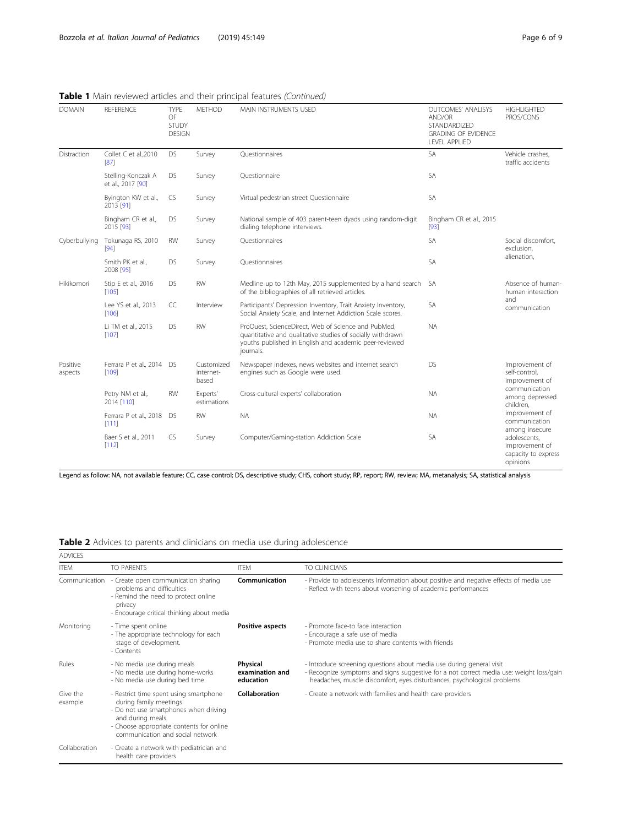| <b>DOMAIN</b>       | <b>REFERENCE</b>                        | <b>TYPE</b><br>OF<br><b>STUDY</b><br><b>DESIGN</b> | <b>METHOD</b>                    | MAIN INSTRUMENTS USED                                                                                                                                                                    | <b>OUTCOMES' ANALISYS</b><br>AND/OR<br>STANDARDIZED<br><b>GRADING OF EVIDENCE</b><br>LEVEL APPLIED | HIGHLIGHTED<br>PROS/CONS                                                                                               |  |
|---------------------|-----------------------------------------|----------------------------------------------------|----------------------------------|------------------------------------------------------------------------------------------------------------------------------------------------------------------------------------------|----------------------------------------------------------------------------------------------------|------------------------------------------------------------------------------------------------------------------------|--|
| Distraction         | Collet C et al.,2010<br>[87]            | <b>DS</b>                                          | Survey                           | Questionnaires                                                                                                                                                                           | <b>SA</b>                                                                                          | Vehicle crashes,<br>traffic accidents                                                                                  |  |
|                     | Stelling-Konczak A<br>et al., 2017 [90] | <b>DS</b>                                          | Survey                           | Ouestionnaire                                                                                                                                                                            | <b>SA</b>                                                                                          |                                                                                                                        |  |
|                     | Byington KW et al.,<br>2013 [91]        | <b>CS</b>                                          | Survey                           | Virtual pedestrian street Questionnaire                                                                                                                                                  | SA                                                                                                 |                                                                                                                        |  |
|                     | Bingham CR et al.,<br>2015 [93]         | <b>DS</b>                                          | Survey                           | National sample of 403 parent-teen dyads using random-digit<br>dialing telephone interviews.                                                                                             | Bingham CR et al., 2015<br>[93]                                                                    |                                                                                                                        |  |
| Cyberbullying       | Tokunaga RS, 2010<br>$[94]$             | <b>RW</b>                                          | Survey                           | Ouestionnaires                                                                                                                                                                           | <b>SA</b>                                                                                          | Social discomfort.<br>exclusion,                                                                                       |  |
|                     | Smith PK et al.,<br>2008 [95]           | <b>DS</b>                                          | Survey                           | Ouestionnaires                                                                                                                                                                           | <b>SA</b>                                                                                          | alienation,                                                                                                            |  |
| Hikikomori          | Stip E et al., 2016<br>[105]            | <b>DS</b>                                          | <b>RW</b>                        | Medline up to 12th May, 2015 supplemented by a hand search<br>of the bibliographies of all retrieved articles.                                                                           | <b>SA</b>                                                                                          | Absence of human-<br>human interaction                                                                                 |  |
|                     | Lee YS et al., 2013<br>[106]            | CC                                                 | Interview                        | Participants' Depression Inventory, Trait Anxiety Inventory,<br>Social Anxiety Scale, and Internet Addiction Scale scores.                                                               | SA                                                                                                 | and<br>communication                                                                                                   |  |
|                     | Li TM et al., 2015<br>[107]             | <b>DS</b>                                          | <b>RW</b>                        | ProQuest, ScienceDirect, Web of Science and PubMed,<br>quantitative and qualitative studies of socially withdrawn<br>youths published in English and academic peer-reviewed<br>journals. | <b>NA</b>                                                                                          |                                                                                                                        |  |
| Positive<br>aspects | Ferrara P et al., 2014 DS<br>[109]      |                                                    | Customized<br>internet-<br>based | Newspaper indexes, news websites and internet search<br>engines such as Google were used.                                                                                                | <b>DS</b>                                                                                          | Improvement of<br>self-control,<br>improvement of                                                                      |  |
|                     | Petry NM et al.,<br>2014 [110]          | <b>RW</b>                                          | Experts'<br>estimations          | Cross-cultural experts' collaboration                                                                                                                                                    | <b>NA</b>                                                                                          | communication<br>among depressed<br>children,                                                                          |  |
|                     | Ferrara P et al., 2018<br>[111]         | <b>DS</b>                                          | <b>RW</b>                        | <b>NA</b>                                                                                                                                                                                | <b>NA</b>                                                                                          | improvement of<br>communication<br>among insecure<br>adolescents,<br>improvement of<br>capacity to express<br>opinions |  |
|                     | Baer S et al., 2011<br>[112]            | <b>CS</b>                                          | Survey                           | Computer/Gaming-station Addiction Scale                                                                                                                                                  | SA                                                                                                 |                                                                                                                        |  |

# <span id="page-5-0"></span>Table 1 Main reviewed articles and their principal features (Continued)

Legend as follow: NA, not available feature; CC, case control; DS, descriptive study; CHS, cohort study; RP, report; RW, review; MA, metanalysis; SA, statistical analysis

# Table 2 Advices to parents and clinicians on media use during adolescence

| <b>ADVICES</b>      |                                                                                                                                                                                                                |                                          |                                                                                                                                                                                                                                            |  |  |
|---------------------|----------------------------------------------------------------------------------------------------------------------------------------------------------------------------------------------------------------|------------------------------------------|--------------------------------------------------------------------------------------------------------------------------------------------------------------------------------------------------------------------------------------------|--|--|
| <b>ITEM</b>         | TO PARENTS                                                                                                                                                                                                     | <b>ITEM</b>                              | TO CLINICIANS                                                                                                                                                                                                                              |  |  |
| Communication       | - Create open communication sharing<br>problems and difficulties<br>- Remind the need to protect online<br>privacy<br>- Encourage critical thinking about media                                                | Communication                            | - Provide to adolescents Information about positive and negative effects of media use<br>- Reflect with teens about worsening of academic performances                                                                                     |  |  |
| Monitoring          | - Time spent online<br>- The appropriate technology for each<br>stage of development.<br>- Contents                                                                                                            | Positive aspects                         | - Promote face-to face interaction<br>- Encourage a safe use of media<br>- Promote media use to share contents with friends                                                                                                                |  |  |
| Rules               | - No media use during meals<br>- No media use during home-works<br>- No media use during bed time                                                                                                              | Physical<br>examination and<br>education | - Introduce screening questions about media use during general visit<br>- Recognize symptoms and signs suggestive for a not correct media use: weight loss/gain<br>headaches, muscle discomfort, eyes disturbances, psychological problems |  |  |
| Give the<br>example | - Restrict time spent using smartphone<br>during family meetings<br>- Do not use smartphones when driving<br>and during meals.<br>- Choose appropriate contents for online<br>communication and social network | <b>Collaboration</b>                     | - Create a network with families and health care providers                                                                                                                                                                                 |  |  |
| Collaboration       | - Create a network with pediatrician and<br>health care providers                                                                                                                                              |                                          |                                                                                                                                                                                                                                            |  |  |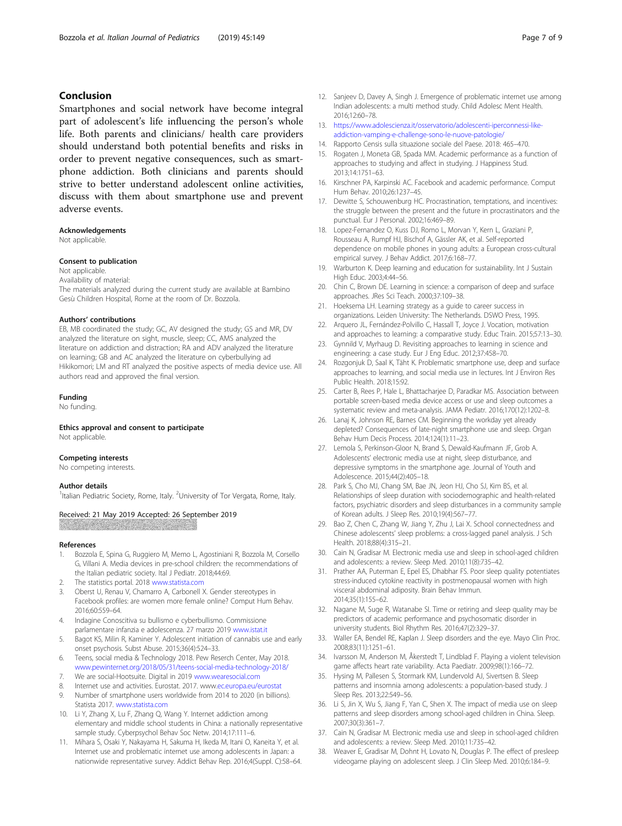# <span id="page-6-0"></span>Conclusion

Smartphones and social network have become integral part of adolescent's life influencing the person's whole life. Both parents and clinicians/ health care providers should understand both potential benefits and risks in order to prevent negative consequences, such as smartphone addiction. Both clinicians and parents should strive to better understand adolescent online activities, discuss with them about smartphone use and prevent adverse events.

#### Acknowledgements

Not applicable.

#### Consent to publication

Not applicable Availability of material: The materials analyzed during the current study are available at Bambino Gesù Children Hospital, Rome at the room of Dr. Bozzola.

#### Authors' contributions

EB, MB coordinated the study; GC, AV designed the study; GS and MR, DV analyzed the literature on sight, muscle, sleep; CC, AMS analyzed the literature on addiction and distraction; RA and ADV analyzed the literature on learning; GB and AC analyzed the literature on cyberbullying ad Hikikomori; LM and RT analyzed the positive aspects of media device use. All authors read and approved the final version.

#### Funding

No funding.

# Ethics approval and consent to participate

Not applicable.

#### Competing interests

No competing interests.

#### Author details

<sup>1</sup>Italian Pediatric Society, Rome, Italy. <sup>2</sup>University of Tor Vergata, Rome, Italy.

#### Received: 21 May 2019 Accepted: 26 September 2019

#### References

- 1. Bozzola E, Spina G, Ruggiero M, Memo L, Agostiniani R, Bozzola M, Corsello G, Villani A. Media devices in pre-school children: the recommendations of the Italian pediatric society. Ital J Pediatr. 2018;44:69.
- 2. The statistics portal. 2018 [www.statista.com](http://www.statista.com)
- 3. Oberst U, Renau V, Chamarro A, Carbonell X. Gender stereotypes in Facebook profiles: are women more female online? Comput Hum Behav. 2016;60:559–64.
- 4. Indagine Conoscitiva su bullismo e cyberbullismo. Commissione parlamentare infanzia e adolescenza. 27 marzo 2019 [www.istat.it](http://www.istat.it)
- 5. Bagot KS, Milin R, Kaminer Y. Adolescent initiation of cannabis use and early onset psychosis. Subst Abuse. 2015;36(4):524–33.
- 6. Teens, social media & Technology 2018. Pew Reserch Center, May 2018. [www.pewinternet.org/2018/05/31/teens-social-media-technology-2018/](http://www.pewinternet.org/2018/05/31/teens-social-media-technology-2018/)
- 7. We are social-Hootsuite. Digital in 2019 [www.wearesocial.com](https://wearesocial.com/)
- 8. Internet use and activities. Eurostat. 2017. www[.ec.europa.eu/eurostat](https://ec.europa.eu/eurostat)
- 9. Number of smartphone users worldwide from 2014 to 2020 (in billions). Statista 2017. [www.statista.com](http://www.statista.com)
- 10. Li Y, Zhang X, Lu F, Zhang Q, Wang Y. Internet addiction among elementary and middle school students in China: a nationally representative sample study. Cyberpsychol Behav Soc Netw. 2014;17:111–6.
- 11. Mihara S, Osaki Y, Nakayama H, Sakuma H, Ikeda M, Itani O, Kaneita Y, et al. Internet use and problematic internet use among adolescents in Japan: a nationwide representative survey. Addict Behav Rep. 2016;4(Suppl. C):58–64.
- 12. Sanjeev D, Davey A, Singh J. Emergence of problematic internet use among Indian adolescents: a multi method study. Child Adolesc Ment Health. 2016;12:60–78.
- 13. [https://www.adolescienza.it/osservatorio/adolescenti-iperconnessi-like](https://www.adolescienza.it/osservatorio/adolescenti-iperconnessi-like-addiction-vamping-e-challenge-sono-le-nuove-patologie/)[addiction-vamping-e-challenge-sono-le-nuove-patologie/](https://www.adolescienza.it/osservatorio/adolescenti-iperconnessi-like-addiction-vamping-e-challenge-sono-le-nuove-patologie/)
- 14. Rapporto Censis sulla situazione sociale del Paese. 2018: 465–470.
- 15. Rogaten J, Moneta GB, Spada MM. Academic performance as a function of approaches to studying and affect in studying. J Happiness Stud. 2013;14:1751–63.
- 16. Kirschner PA, Karpinski AC. Facebook and academic performance. Comput Hum Behav. 2010;26:1237–45.
- 17. Dewitte S, Schouwenburg HC. Procrastination, temptations, and incentives: the struggle between the present and the future in procrastinators and the punctual. Eur J Personal. 2002;16:469–89.
- 18. Lopez-Fernandez O, Kuss DJ, Romo L, Morvan Y, Kern L, Graziani P, Rousseau A, Rumpf HJ, Bischof A, Gässler AK, et al. Self-reported dependence on mobile phones in young adults: a European cross-cultural empirical survey. J Behav Addict. 2017;6:168–77.
- 19. Warburton K. Deep learning and education for sustainability. Int J Sustain High Educ. 2003;4:44–56.
- 20. Chin C, Brown DE. Learning in science: a comparison of deep and surface approaches. JRes Sci Teach. 2000;37:109–38.
- 21. Hoeksema LH. Learning strategy as a guide to career success in organizations. Leiden University: The Netherlands. DSWO Press, 1995.
- Arquero JL, Fernández-Polvillo C, Hassall T, Joyce J. Vocation, motivation and approaches to learning: a comparative study. Educ Train. 2015;57:13–30.
- 23. Gynnild V, Myrhaug D. Revisiting approaches to learning in science and engineering: a case study. Eur J Eng Educ. 2012;37:458–70.
- 24. Rozgonjuk D, Saal K, Täht K. Problematic smartphone use, deep and surface approaches to learning, and social media use in lectures. Int J Environ Res Public Health. 2018;15:92.
- 25. Carter B, Rees P, Hale L, Bhattacharjee D, Paradkar MS. Association between portable screen-based media device access or use and sleep outcomes a systematic review and meta-analysis. JAMA Pediatr. 2016;170(12):1202–8.
- 26. Lanaj K, Johnson RE, Barnes CM. Beginning the workday yet already depleted? Consequences of late-night smartphone use and sleep. Organ Behav Hum Decis Process. 2014;124(1):11–23.
- 27. Lemola S, Perkinson-Gloor N, Brand S, Dewald-Kaufmann JF, Grob A. Adolescents' electronic media use at night, sleep disturbance, and depressive symptoms in the smartphone age. Journal of Youth and Adolescence. 2015;44(2):405–18.
- 28. Park S, Cho MJ, Chang SM, Bae JN, Jeon HJ, Cho SJ, Kim BS, et al. Relationships of sleep duration with sociodemographic and health-related factors, psychiatric disorders and sleep disturbances in a community sample of Korean adults. J Sleep Res. 2010;19(4):567–77.
- 29. Bao Z, Chen C, Zhang W, Jiang Y, Zhu J, Lai X. School connectedness and Chinese adolescents' sleep problems: a cross-lagged panel analysis. J Sch Health. 2018;88(4):315–21.
- 30. Cain N, Gradisar M. Electronic media use and sleep in school-aged children and adolescents: a review. Sleep Med. 2010;11(8):735–42.
- 31. Prather AA, Puterman E, Epel ES, Dhabhar FS. Poor sleep quality potentiates stress-induced cytokine reactivity in postmenopausal women with high visceral abdominal adiposity. Brain Behav Immun. 2014;35(1):155–62.
- 32. Nagane M, Suge R, Watanabe SI. Time or retiring and sleep quality may be predictors of academic performance and psychosomatic disorder in university students. Biol Rhythm Res. 2016;47(2):329–37.
- 33. Waller EA, Bendel RE, Kaplan J. Sleep disorders and the eye. Mayo Clin Proc. 2008;83(11):1251–61.
- 34. Ivarsson M, Anderson M, Åkerstedt T, Lindblad F. Playing a violent television game affects heart rate variability. Acta Paediatr. 2009;98(1):166–72.
- 35. Hysing M, Pallesen S, Stormark KM, Lundervold AJ, Sivertsen B. Sleep patterns and insomnia among adolescents: a population-based study. J Sleep Res. 2013;22:549–56.
- 36. Li S, Jin X, Wu S, Jiang F, Yan C, Shen X. The impact of media use on sleep patterns and sleep disorders among school-aged children in China. Sleep. 2007;30(3):361–7.
- 37. Cain N, Gradisar M. Electronic media use and sleep in school-aged children and adolescents: a review. Sleep Med. 2010;11:735–42.
- 38. Weaver E, Gradisar M, Dohnt H, Lovato N, Douglas P. The effect of presleep videogame playing on adolescent sleep. J Clin Sleep Med. 2010;6:184–9.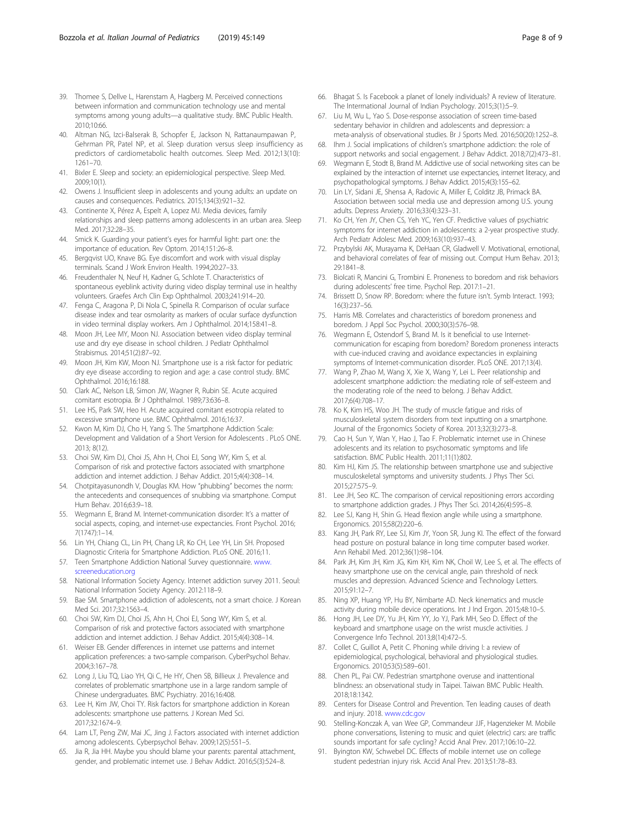- <span id="page-7-0"></span>39. Thomee S, Dellve L, Harenstam A, Hagberg M. Perceived connections between information and communication technology use and mental symptoms among young adults—a qualitative study. BMC Public Health. 2010;10:66.
- 40. Altman NG, Izci-Balserak B, Schopfer E, Jackson N, Rattanaumpawan P, Gehrman PR, Patel NP, et al. Sleep duration versus sleep insufficiency as predictors of cardiometabolic health outcomes. Sleep Med. 2012;13(10): 1261–70.
- 41. Bixler E. Sleep and society: an epidemiological perspective. Sleep Med. 2009;10(1).
- 42. Owens J. Insufficient sleep in adolescents and young adults: an update on causes and consequences. Pediatrics. 2015;134(3):921–32.
- 43. Continente X, Pérez A, Espelt A, Lopez MJ. Media devices, family relationships and sleep patterns among adolescents in an urban area. Sleep Med. 2017;32:28–35.
- 44. Smick K. Guarding your patient's eyes for harmful light: part one: the importance of education. Rev Optom. 2014;151:26–8.
- 45. Bergqvist UO, Knave BG. Eye discomfort and work with visual display terminals. Scand J Work Environ Health. 1994;20:27–33.
- 46. Freudenthaler N, Neuf H, Kadner G, Schlote T. Characteristics of spontaneous eyeblink activity during video display terminal use in healthy volunteers. Graefes Arch Clin Exp Ophthalmol. 2003;241:914–20.
- 47. Fenga C, Aragona P, Di Nola C, Spinella R. Comparison of ocular surface disease index and tear osmolarity as markers of ocular surface dysfunction in video terminal display workers. Am J Ophthalmol. 2014;158:41–8.
- 48. Moon JH, Lee MY, Moon NJ. Association between video display terminal use and dry eye disease in school children. J Pediatr Ophthalmol Strabismus. 2014;51(2):87–92.
- 49. Moon JH, Kim KW, Moon NJ. Smartphone use is a risk factor for pediatric dry eye disease according to region and age: a case control study. BMC Ophthalmol. 2016;16:188.
- 50. Clark AC, Nelson LB, Simon JW, Wagner R, Rubin SE. Acute acquired comitant esotropia. Br J Ophthalmol. 1989;73:636–8.
- 51. Lee HS, Park SW, Heo H. Acute acquired comitant esotropia related to excessive smartphone use. BMC Ophthalmol. 2016;16:37.
- 52. Kwon M, Kim DJ, Cho H, Yang S. The Smartphone Addiction Scale: Development and Validation of a Short Version for Adolescents . PLoS ONE. 2013; 8(12).
- 53. Choi SW, Kim DJ, Choi JS, Ahn H, Choi EJ, Song WY, Kim S, et al. Comparison of risk and protective factors associated with smartphone addiction and internet addiction. J Behav Addict. 2015;4(4):308–14.
- 54. Chotpitayasunondh V, Douglas KM. How "phubbing" becomes the norm: the antecedents and consequences of snubbing via smartphone. Comput Hum Behav. 2016;63:9–18.
- 55. Wegmann E, Brand M. Internet-communication disorder: It's a matter of social aspects, coping, and internet-use expectancies. Front Psychol. 2016; 7(1747):1–14.
- 56. Lin YH, Chiang CL, Lin PH, Chang LR, Ko CH, Lee YH, Lin SH. Proposed Diagnostic Criteria for Smartphone Addiction. PLoS ONE. 2016;11.
- 57. Teen Smartphone Addiction National Survey questionnaire. [www.](http://www.screeneducation.org) [screeneducation.org](http://www.screeneducation.org)
- 58. National Information Society Agency. Internet addiction survey 2011. Seoul: National Information Society Agency. 2012:118–9.
- 59. Bae SM. Smartphone addiction of adolescents, not a smart choice. J Korean Med Sci. 2017;32:1563–4.
- 60. Choi SW, Kim DJ, Choi JS, Ahn H, Choi EJ, Song WY, Kim S, et al. Comparison of risk and protective factors associated with smartphone addiction and internet addiction. J Behav Addict. 2015;4(4):308–14.
- 61. Weiser EB. Gender differences in internet use patterns and internet application preferences: a two-sample comparison. CyberPsychol Behav. 2004;3:167–78.
- 62. Long J, Liu TQ, Liao YH, Qi C, He HY, Chen SB, Billieux J. Prevalence and correlates of problematic smartphone use in a large random sample of Chinese undergraduates. BMC Psychiatry. 2016;16:408.
- 63. Lee H, Kim JW, Choi TY. Risk factors for smartphone addiction in Korean adolescents: smartphone use patterns. J Korean Med Sci. 2017;32:1674–9.
- 64. Lam LT, Peng ZW, Mai JC, Jing J. Factors associated with internet addiction among adolescents. Cyberpsychol Behav. 2009;12(5):551–5.
- 65. Jia R, Jia HH. Maybe you should blame your parents: parental attachment, gender, and problematic internet use. J Behav Addict. 2016;5(3):524–8.
- 66. Bhagat S. Is Facebook a planet of lonely individuals? A review of literature. The Interrnational Journal of Indian Psychology. 2015;3(1):5–9.
- 67. Liu M, Wu L, Yao S. Dose-response association of screen time-based sedentary behavior in children and adolescents and depression: a meta-analysis of observational studies. Br J Sports Med. 2016;50(20):1252–8.
- 68. Ihm J. Social implications of children's smartphone addiction: the role of support networks and social engagement. J Behav Addict. 2018;7(2):473–81.
- 69. Wegmann E, Stodt B, Brand M. Addictive use of social networking sites can be explained by the interaction of internet use expectancies, internet literacy, and psychopathological symptoms. J Behav Addict. 2015;4(3):155–62.
- 70. Lin LY, Sidani JE, Shensa A, Radovic A, Miller E, Colditz JB, Primack BA. Association between social media use and depression among U.S. young adults. Depress Anxiety. 2016;33(4):323–31.
- 71. Ko CH, Yen JY, Chen CS, Yeh YC, Yen CF. Predictive values of psychiatric symptoms for internet addiction in adolescents: a 2-year prospective study. Arch Pediatr Adolesc Med. 2009;163(10):937–43.
- 72. Przybylski AK, Murayama K, DeHaan CR, Gladwell V. Motivational, emotional, and behavioral correlates of fear of missing out. Comput Hum Behav. 2013; 29:1841–8.
- 73. Biolcati R, Mancini G, Trombini E. Proneness to boredom and risk behaviors during adolescents' free time. Psychol Rep. 2017:1–21.
- 74. Brissett D, Snow RP. Boredom: where the future isn't. Symb Interact. 1993; 16(3):237–56.
- 75. Harris MB. Correlates and characteristics of boredom proneness and boredom. J Appl Soc Psychol. 2000;30(3):576–98.
- 76. Wegmann E, Ostendorf S, Brand M. Is it beneficial to use Internetcommunication for escaping from boredom? Boredom proneness interacts with cue-induced craving and avoidance expectancies in explaining symptoms of Internet-communication disorder. PLoS ONE. 2017;13(4).
- 77. Wang P, Zhao M, Wang X, Xie X, Wang Y, Lei L. Peer relationship and adolescent smartphone addiction: the mediating role of self-esteem and the moderating role of the need to belong. J Behav Addict. 2017;6(4):708–17.
- 78. Ko K, Kim HS, Woo JH. The study of muscle fatigue and risks of musculoskeletal system disorders from text inputting on a smartphone. Journal of the Ergonomics Society of Korea. 2013;32(3):273–8.
- 79. Cao H, Sun Y, Wan Y, Hao J, Tao F. Problematic internet use in Chinese adolescents and its relation to psychosomatic symptoms and life satisfaction. BMC Public Health. 2011;11(1):802.
- 80. Kim HJ, Kim JS. The relationship between smartphone use and subjective musculoskeletal symptoms and university students. J Phys Ther Sci. 2015;27:575–9.
- 81. Lee JH, Seo KC. The comparison of cervical repositioning errors according to smartphone addiction grades. J Phys Ther Sci. 2014;26(4):595–8.
- 82. Lee SJ, Kang H, Shin G. Head flexion angle while using a smartphone. Ergonomics. 2015;58(2):220–6.
- Kang JH, Park RY, Lee SJ, Kim JY, Yoon SR, Jung KI. The effect of the forward head posture on postural balance in long time computer based worker. Ann Rehabil Med. 2012;36(1):98–104.
- 84. Park JH, Kim JH, Kim JG, Kim KH, Kim NK, Choil W, Lee S, et al. The effects of heavy smartphone use on the cervical angle, pain threshold of neck muscles and depression. Advanced Science and Technology Letters. 2015;91:12–7.
- 85. Ning XP, Huang YP, Hu BY, Nimbarte AD. Neck kinematics and muscle activity during mobile device operations. Int J Ind Ergon. 2015;48:10–5.
- 86. Hong JH, Lee DY, Yu JH, Kim YY, Jo YJ, Park MH, Seo D. Effect of the keyboard and smartphone usage on the wrist muscle activities. J Convergence Info Technol. 2013;8(14):472–5.
- 87. Collet C, Guillot A, Petit C. Phoning while driving I: a review of epidemiological, psychological, behavioral and physiological studies. Ergonomics. 2010;53(5):589–601.
- 88. Chen PL, Pai CW. Pedestrian smartphone overuse and inattentional blindness: an observational study in Taipei. Taiwan BMC Public Health. 2018;18:1342.
- 89. Centers for Disease Control and Prevention. Ten leading causes of death and injury. 2018. [www.cdc.gov](http://www.cdc.gov)
- 90. Stelling-Konczak A, van Wee GP, Commandeur JJF, Hagenzieker M. Mobile phone conversations, listening to music and quiet (electric) cars: are traffic sounds important for safe cycling? Accid Anal Prev. 2017;106:10–22.
- 91. Byington KW, Schwebel DC. Effects of mobile internet use on college student pedestrian injury risk. Accid Anal Prev. 2013;51:78–83.